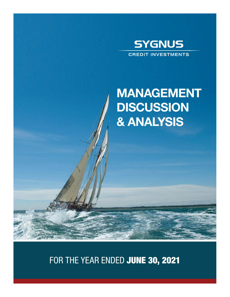

# MANAGEMENT **DISCUSSION** & ANALYSIS

FOR THE YEAR ENDED JUNE 30, 2021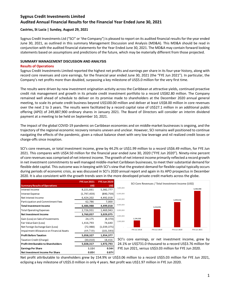## **Castries, St Lucia | Sunday, August 29, 2021**

Sygnus Credit Investments Ltd ("SCI" or 'the Company") is pleased to report on its audited financial results for the year ended June 30, 2021, as outlined in this summary Management Discussion and Analysis (MD&A). This MD&A should be read in conjunction with the audited financial statements for the Year Ended June 30, 2021. The MD&A may contain forward looking statements based on assumptions and predictions of the future, which may be materially different from those projected.

### **SUMMARY MANAGEMENT DISCUSSION AND ANALYSIS**

#### **Results of Operations**

Sygnus Credit Investments Limited reported the highest net profits and earnings per share in its four-year history, along with record core revenues and core earnings, for the financial year ended June 30, 2021 (the "FYE Jun 2021"). In particular, the Company's net profits more than doubled, surpassing a key milestone of US\$5.0 million for the very first time.

The results were driven by new investment origination activity across the Caribbean at attractive yields, continued proactive credit risk management and growth in its private credit investment portfolio to a record US\$82.80 million. The Company remained well ahead of schedule to deliver on its promise made to shareholders at the December 2020 annual general meeting, to scale its private credit business beyond US\$100.00 million and deliver at least US\$8.00 million in core revenues over the next 2 to 3 years. The results were facilitated by a record capital raise of US\$27.1 million in an additional public offering (APO) of 249,887,900 ordinary shares in January 2021. The Board of Directors will consider an interim dividend payment at a meeting to be held on September 10, 2021.

The impact of the global COVID-19 pandemic on Caribbean economies and on middle-market businesses is ongoing, and the trajectory of the regional economic recovery remains uneven and unclear. However, SCI remains well positioned to continue navigating the effects of the pandemic, given a robust balance sheet with very low leverage and nil realized credit losses or charge-offs since inception.

SCI's core revenues, or total investment income, grew by 44.2% or US\$1.99 million to a record US\$6.49 million, for FYE Jun 2021. This compares with US\$4.50 million for the financial year ended June 30, 2020 ("FYE Jun 2020"). Ninety-nine percent of core revenues was comprised of net interest income. The growth of net interest income primarily reflected a record growth in net investment commitments to well managed middle-market Caribbean businesses, to meet their substantial demand for flexible debt capital. This outcome was in keeping with SCI's view that the greatest demand for flexible capital typically occurs during periods of economic crisis, as was discussed in SCI's 2020 annual report and again in its APO prospectus in December 2020. It is also consistent with the growth trends seen in the more developed private credit markets across the globe.

|                                            | <b>FYE Jun 2021</b> | <b>FYE Jun 2020</b> |
|--------------------------------------------|---------------------|---------------------|
| <b>Summary Results of Operations</b>       | <b>USS</b>          | <b>USS</b>          |
| Interest Income                            | 8,221,661           | 5,382,777           |
| <b>Interest Expense</b>                    | (1,797,459)         | (890, 759)          |
| Net Interest Income                        | 6,424,202           | 4,492,018           |
| Participation and Commitment Fees          | 62,786              | 7,000               |
| <b>Total Investment Income</b>             | 6,486,988           | 4,499,018           |
| <b>Total Operating Expenses</b>            | 2,726,931           | 1,469,943           |
| <b>Net Investment Income</b>               | 3,760,057           | 3,029,075           |
| Gain (Loss) on Sale of Investments         | 24,175              | (8, 370)            |
| Fair Value Gain (Loss)                     | 1,416,793           | 74,640              |
| Net Foreign Exchange Gain (Loss)           | (72, 988)           | (1,039,375)         |
| Impairment Allowance on Financial Assets   | (69,710)            | (101, 593)          |
| <b>Profit Before Taxation</b>              | 5,058,327           | 1,954,377           |
| Taxation Credit (Charge)                   | (30, 010)           | 18,416              |
| <b>Profit Attributable to Shareholders</b> | 5,028,317           | 1,972,793           |
| <b>Earnings Per Share</b>                  | 1.11¢               | 0.56¢               |
| Net Investment Income Per Share            | 0.83¢               | 0.87¢               |



SCI's core earnings, or net investment income, grew by 24.1% or US\$731.0 thousand to a record US\$3.76 million for FYE Jun 2021, versus US\$3.03 million for FYE Jun 2020.

Net profit attributable to shareholders grew by 154.9% or US\$3.06 million to a record US\$5.03 million for FYE Jun 2021, eclipsing a key milestone of US\$5.0 million in only 4 years. Net profit was US\$1.97 million in FYE Jun 2020.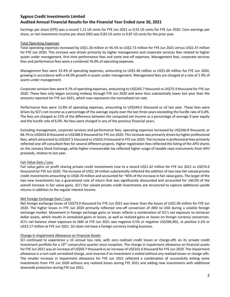Earnings per share (EPS) was a record 1.11 US cents for FYE Jun 2021 vs 0.55 US cents for FYE Jun 2020. Core earnings per share, or net investment income per share (NII) was 0.83 US cents vs 0.87 US cents for the prior year.

## Total Operating Expenses

Total operating expenses increased by US\$1.26 million or 45.5% to US\$2.73 million for FYE Jun 2021 versus US\$1.47 million for FYE Jun 2020. This increase was driven primarily by higher management and corporate services fees related to higher assets under management, first time performance fees and some one-off expenses. Management fees, corporate services fees and performance fees were a combined 76.0% of operating expenses.

Management fees were 53.4% of operating expenses, amounting to US\$1.46 million vs US\$1.00 million for FYE Jun 2020, growing in accordance with a 44.0% growth in assets under management. Management fees are charged at a rate of 1.9% of assets under management.

Corporate services fees were 9.7% of operating expenses, amounting to US\$265.7 thousand vs US\$75.9 thousand for FYE Jun 2020. These fees only began accruing midway through FYE Jun 2020 and were thus substantially lower last year than the amounts reported for FYE Jun 2021, which now represents the normalized run rate.

Performance fees were 12.8% of operating expenses, amounting to US\$349.5 thousand vs nil last year. These fees were driven by SCI's net income as a percentage of the average equity over the last three years exceeding the hurdle rate of 6.0%. The fees are charged as 15% of the difference between the computed net income as a percentage of average 3-year equity and the hurdle rate of 6.0%. No fees were charged in any of the previous financial years.

Excluding management, corporate services and performance fees, operating expenses increased by US\$266.8 thousand, or 68.7% to US\$654.8 thousand vs US\$388.0 thousand for FYE Jun 2020. Thisincrease was primarily driven by higher professional fees, which amounted to US\$207.5 thousand vs US\$35.0 thousand in FYE Jun 2020. The increase in professional fees primarily reflected one-off consultant fees for several different projects. Higher registration fees reflected the listing of the APO shares on the Jamaica Stock Exchange, while higher irrecoverable tax reflected higher usage of taxable repo instruments from APO proceeds, relative to last year.

### Fair Value Gain / Loss

Fair value gains on profit sharing private credit investments rose to a record US\$1.42 million for FYE Jun 2021 vs US\$74.6 thousand for FYE Jun 2020. The increase of US\$1.34 million substantially reflected the addition of two new fair valued private credit investments amounting to US\$8.70 million and accounted for ~85% of the increase in fair value gains. The larger of the two new investments has a guaranteed rate of return that was significantly discounted and accounted for >60.0% of the overall increase in fair value gains. SCI's fair valued private credit investments are structured to capture additional upside returns in addition to the regular interest income.

### Net Foreign Exchange Gain / Loss

Net foreign exchange losses of US\$73.0 thousand for FYE Jun 2021 was lower than the losses of US\$1.04 million for FYE Jun 2020. The higher losses in FYE Jun 2020 primarily reflected one-off conversion of JMD to USD during a volatile foreign exchange market. Movement in foreign exchange gains or losses reflects a combination of SCI's net exposure to Jamaican dollar assets, which results in unrealized gains or losses, as well as realized gains or losses on foreign currency conversion. SCI's net balance sheet exposure to JMD at FYE Jun 2021 was negative 0.5% or negative US\$396,902, vs positive 5.2% or US\$3.17 million at FYE Jun 2021. SCI does not have a foreign currency trading business.

### Change in Impairment Allowance on Financial Assets

SCI continued to experience a nil annual loss rate, with zero realized credit losses or charge-offs on its private credit investment portfolio for a  $16<sup>th</sup>$  consecutive quarter since inception. The change in impairment allowance on financial assets for FYE Jun 2021 was an increase of US\$69.7 thousand vs an increase of US\$101.6 thousand for FYE Jun 2020. The impairment allowance is a non-cash unrealized charge, and reverses if an investment is exited without any realized losses or charge-offs. The smaller increase in impairment allowance for FYE Jun 2021 reflected a combination of successfully exiting some investments from FYE Jun 2020 without any realized losses during FYE 2021 and adding new investments with additional downside protection during FYE Jun 2021.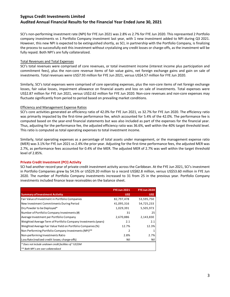SCI's non-performing investment rate (NPI) for FYE Jun 2021 was 2.8% vs 2.7% for FYE Jun 2020. This represented 2 Portfolio company investments vs 1 Portfolio Company investment last year, with 1 new investment added to NPI during Q3 2021. However, this new NPI is expected to be extinguished shortly, as SCI, in partnership with the Portfolio Company, is finalizing the process to successfully exit this investment without crystalizing any credit losses or charge-offs, as the investment will be fully repaid. Both NPI's are fully collateralized.

## Total Revenues and Total Expenses

SCI's total revenues were comprised of core revenues, or total investment income (interest income plus participation and commitment fees), plus the non-core revenue items of fair value gains, net foreign exchange gains and gain on sale of investments. Total revenues were US\$7.93 million for FYE Jun 2021, versus US\$4.57 million for FYE Jun 2020.

Similarly, SCI's total expenses were comprised of core operating expenses, plus the non-core items of net foreign exchange losses, fair value losses, impairment allowance on financial assets and loss on sale of investments. Total expenses were US\$2.87 million for FYE Jun 2021, versus US\$2.62 million for FYE Jun 2020. Non-core revenues and non-core expenses may fluctuate significantly from period to period based on prevailing market conditions.

### Efficiency and Management Expense Ratios

SCI's core activities generated an efficiency ratio of 42.0% for FYE Jun 2021, vs 32.7% for FYE Jun 2020. The efficiency ratio was primarily impacted by the first-time performance fee, which accounted for 5.4% of the 42.0%. The performance fee is computed based on the year-end financial statements but was also included as part of the expenses for the financial year. Thus, adjusting for the performance fee, the adjusted efficiency ratio was 36.6%, well within the 40% target threshold level. This ratio is computed as total operating expenses to total investment income.

Similarly, total operating expenses as a percentage of total assets under management, or the management expense ratio (MER) was 3.1% for FYE Jun 2021 vs 2.4% the prior year. Adjusting for the first-time performance fees, the adjusted MER was 2.7%, as performance fees accounted for 0.4% of the MER. The adjusted MER of 2.7% was well within the target threshold level of 2.85%.

### **Private Credit Investment (PCI) Activity**

SCI had another record year of private credit investment activity across the Caribbean. At the FYE Jun 2021, SCI's investment in Portfolio Companies grew by 54.5% or US\$29.20 million to a record US\$82.8 million, versus US\$53.60 million in FYE Jun 2020. The number of Portfolio Company investments increased to 31 from 25 in the previous year. Portfolio Company investments included finance lease receivables on the balance sheet.

|                                                                | <b>FYE Jun 2021</b> | <b>FYE Jun 2020</b> |
|----------------------------------------------------------------|---------------------|---------------------|
| <b>Summary of Investment Activity</b>                          | <b>US\$</b>         | <b>US\$</b>         |
| Fair Value of Investment in Portfolio Companies                | 82,797,478          | 53,595,750          |
| New Investment Commitments During Period                       | 41,095,316          | 54,725,233          |
| Dry Powder to be Deployed*                                     | 1,029,391           | 5,505,973           |
| Number of Portfolio Company Investments (#)                    | 31                  | 25                  |
| Average Investment per Portfolio Company                       | 2,670,886           | 2,143,830           |
| Weighted Average Term of Portfolio Company Investments (years) | 2.1                 | 2.1                 |
| Weighted Average Fair Value Yield on Portfolio Companies (%)   | 12.7%               | 12.3%               |
| Non Performing Portfolio Company Investments (NPI)**           | 2                   |                     |
| Non-performing Investments Ratio                               | 2.8%                | 2.7%                |
| Loss Rate (realized credit losses; charge-offs)                | Nil                 | Nil                 |
| * Does not include undrawn credit facilities of ~US\$5M        |                     |                     |
| ** Both NPI's are over collateralized                          |                     |                     |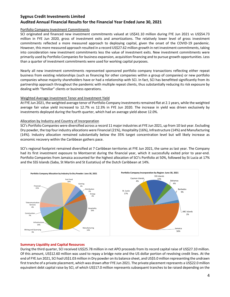## Portfolio Company Investment Commitments

SCI originated and financed new investment commitments valued at US\$41.10 million during FYE Jun 2021 vs US\$54.73 million in FYE Jun 2020, gross of investment exits and amortizations. The relatively lower level of gross investment commitments reflected a more measured approach to deploying capital, given the onset of the COVID-19 pandemic. However, this more measured approach resulted in a record US\$27.62 million growth in net investment commitments, taking into consideration new investment commitments less the value of investment exits. New investment commitments were primarily used by Portfolio Companies for business expansion, acquisition financing and to pursue growth opportunities. Less than a quarter of investment commitments were used for working capital purposes.

Nearly all new investment commitments represented sponsored portfolio company transactions reflecting either repeat business from existing relationships (such as financing for other companies within a group of companies) or new portfolio companies whose majority shareholders have or had a relationship with SCI. In fact, SCI has benefitted significantly from its partnership approach throughout the pandemic with multiple repeat clients, thus substantially reducing its risk exposure by dealing with "familiar" clients or business operations.

## Weighted Average Investment Tenor and Investment Yield

At FYE Jun 2021, the weighted average tenor of Portfolio Company investments remained flat at 2.1 years, while the weighted average fair value yield increased to 12.7% vs 12.3% in FYE Jun 2020. The increase in yield was driven exclusively by investments deployed during the fourth quarter, which had an average yield above 12.0%.

### Allocation by Industry and Country of Incorporation

SCI's Portfolio Companies were diversified across a record 11 major industries at FYE Jun 2021, up from 10 last year. Excluding Dry powder, the top four industry allocations were Financial (21%), Hospitality (16%), Infrastructure (14%) and Manufacturing (14%). Industry allocation remained substantially below the 35% target concentration level but will likely increase as economic recovery within the Caribbean gathers pace.

SCI's regional footprint remained diversified at 7 Caribbean territories at FYE Jun 2021, the same as last year. The Company had its first investment exposure to Montserrat during the financial year, which it successfully exited prior to year-end. Portfolio Companies from Jamaica accounted for the highest allocation of SCI's Portfolio at 50%, followed by St Lucia at 17% and the SSS Islands (Saba, St Martin and St Eustatius) of the Dutch Caribbean at 14%.



## **Summary Liquidity and Capital Resources**

During the third quarter, SCI received US\$25.78 million in net APO proceeds from its record capital raise of US\$27.10 million. Of this amount, US\$12.60 million was used to repay a bridge note and the US dollar portion of revolving credit lines. At the end of FYE Jun 2021, SCI had US\$1.03 million in Dry powder on its balance sheet, and US\$5.0 million representing the undrawn first tranche of a private placement, which was drawn after FYE Jun 2021. The private placement represents a US\$22.0 million equivalent debt capital raise by SCI, of which US\$17.0 million represents subsequent tranches to be raised depending on the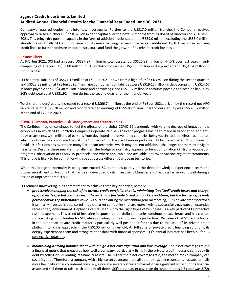Company's required deployment into new investments. Further to the US\$17.0 million tranche, the Company received approval to raise a further US\$22.0 million in debt capital over the next 12 months from its Board of Directors on August 27, 2021. This brings dry powder capacity in the form of additional debt capital to US\$39.0 million, excluding the US\$5.0 million already drawn. Finally, SCI is in discussion with its senior banking partners to access an additional US\$10.0 million in revolving credit lines to further optimize its capital structure and fund the growth of its private credit business.

## **Balance Sheet**

At FYE Jun 2021, SCI had a record US\$87.87 million in total assets, up US\$26.83 million or 44.0% over last year, mainly comprising of a record US\$82.80 million in 31 Portfolio Companies, US\$1.00 million in dry powder, and US\$4.04 million in other assets.

SCI had total liabilities of US\$21.13 million at FYE Jun 2021, down from a high of US\$33.63 million during the second quarter, and US\$23.38 million at FYE Jun 2020. The major components of liabilities were US\$19.15 million in debt comprising US\$14.67 in notes payable and US\$4.48 million in loans and borrowings; and US\$1.17 million in accounts payable and accrued liabilities. SCI's debt peaked at US\$31.91 million during the second quarter of the financial year.

Total shareholders' equity increased to a record US\$66.74 million at the end of FYE Jun 2021, driven by the record net APO capital raise of US\$25.78 million and record retained earnings of US\$5.85 million. Shareholders' equity was US\$37.67 million at the end of FYE Jun 2020.

### **COVID-19 Impact, Proactive Risk Management and Opportunities**

The Caribbean region continues to feel the effects of the global COVID-19 pandemic, with varying degrees of impact on the economies in which SCI's Portfolio Companies operate. While significant progress has been made in vaccination and antibody treatments, with millions of persons from developed and developing countries being vaccinated, the virus has mutated which continues to complicate the path to "normalcy" for the Caribbean in particular. In fact, a so called "third wave" of Covid-19 infections has overtaken many Caribbean territories which may present additional challenges for them to navigate near term. Despite these near-term challenges, the bridge to normalcy appears to be a combination of strong vaccination programs, observation of COVID-19 protocols, and where applicable and available, approved vaccine regiment treatments. This bridge is likely to be built at varying speeds across different Caribbean territories.

While this bridge to normalcy is being constructed, SCI continues to rely on the deep knowledge, experienced team and proven investment philosophy that has been developed by its Investment Manager and has thus far served it well during a period of unprecedented crisis.

SCI remains unwavering in its commitment to achieve three key priorities, namely:

- *proactively managing the risk of its private credit portfolio, that is, minimizing "realized" credit losses and chargeoffs, versus "expected credit losses". The latter will fluctuate based on market conditions, but the former represents permanent loss of shareholder value*. As outlined during the last annual general meeting, SCI's private credit portfolio is primarily invested in sponsored middle-market companies that are more likely to successfully navigate an extended recessionary environment. Deploying capital in this into the right types of businesses is a key part of SCI's proactive risk management. This trend of investing in sponsored portfolio companies continues to accelerate and has created some exciting opportunities for SCI, while providing significant downside protection. We believe that SCI, as the leader in the Caribbean private credit market is particularly well-positioned for this due to the scale of its private credit platform, which is approaching the US\$100 million threshold, its full suite of private credit financing solutions, its deeply experienced team and strong relationships with financial sponsors. SCI's annual loss rate has been nil for 16 consecutive quarters.
- *maintaining a strong balance sheet with a high asset coverage ratio and low leverage*. The asset coverage ratio is a financial metric that measures how well a company, particularly firms in the private credit industry, can repay its debt by selling or liquidating its financial assets. The higher the asset coverage ratio, the more times a company can cover its debt. Therefore, a company with a high asset coverage ratio, all otherthings being constant, has substantially more flexibility and is considered less risky, since in a severely stressed market it can significantly discount its financial assets and sell them to raise cash and pay off debts. SCI's target asset coverage threshold ratio is 1.5x and was 3.72x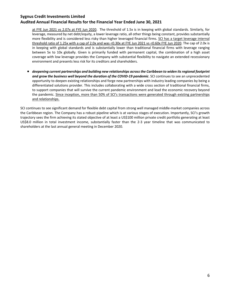at FYE Jun 2021 vs 2.07x at FYE Jun 2020. The threshold of 1.5x is in keeping with global standards. Similarly, for leverage, measured by net debt/equity, a lower leverage ratio, all other things being constant, provides substantially more flexibility and is considered less risky than higher leveraged financial firms. SCI has a target leverage internal threshold ratio of 1.25x with a cap of 2.0x and was <0.30x at FYE Jun 2021 vs <0.60x FYE Jun 2020. The cap of 2.0x is in keeping with global standards and is substantially lower than traditional financial firms with leverage ranging between 5x to 10x globally. Given is primarily funded with permanent capital, the combination of a high asset coverage with low leverage provides the Company with substantial flexibility to navigate an extended recessionary environment and presents less risk for its creditors and shareholders.

• *deepening current partnerships and building new relationships across the Caribbean to widen its regional footprint and grow the business well beyond the duration of the COVID-19 pandemic*. SCI continues to see an unprecedented opportunity to deepen existing relationships and forge new partnerships with industry leading companies by being a differentiated solutions provider. This includes collaborating with a wide cross section of traditional financial firms, to support companies that will survive the current pandemic environment and lead the economic recovery beyond the pandemic. Since inception, more than 50% of SCI's transactions were generated through existing partnerships and relationships.

SCI continues to see significant demand for flexible debt capital from strong well managed middle-market companies across the Caribbean region. The Company has a robust pipeline which is at various stages of execution. Importantly, SCI's growth trajectory sees the firm achieving its stated objective of at least a US\$100 million private credit portfolio generating at least US\$8.0 million in total investment income, substantially faster than the 2-3 year timeline that was communicated to shareholders at the last annual general meeting in December 2020.